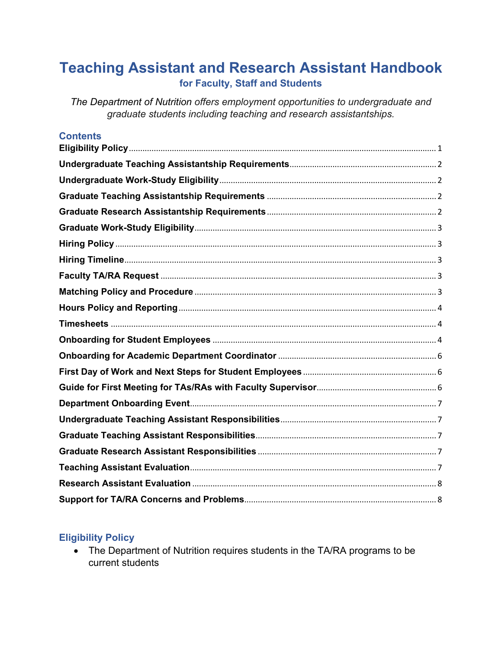# **Teaching Assistant and Research Assistant Handbook for Faculty, Staff and Students**

*The Department of Nutrition offers employment opportunities to undergraduate and graduate students including teaching and research assistantships.*

| <b>Contents</b> |
|-----------------|
|-----------------|

# <span id="page-0-0"></span>**Eligibility Policy**

• The Department of Nutrition requires students in the TA/RA programs to be current students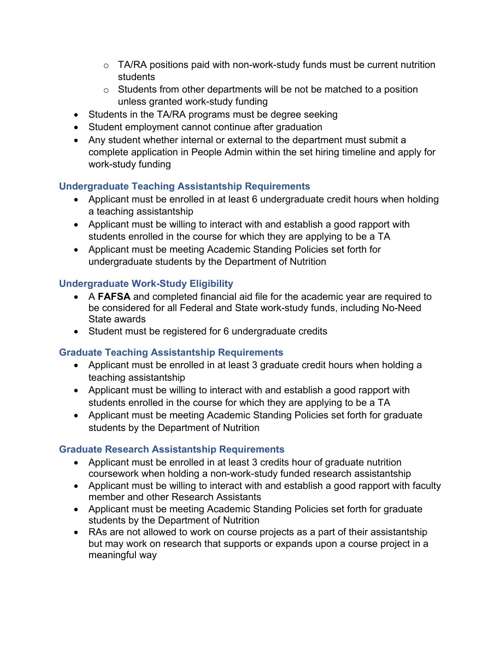- $\circ$  TA/RA positions paid with non-work-study funds must be current nutrition students
- $\circ$  Students from other departments will be not be matched to a position unless granted work-study funding
- Students in the TA/RA programs must be degree seeking
- Student employment cannot continue after graduation
- Any student whether internal or external to the department must submit a complete application in People Admin within the set hiring timeline and apply for work-study funding

# <span id="page-1-0"></span>**Undergraduate Teaching Assistantship Requirements**

- Applicant must be enrolled in at least 6 undergraduate credit hours when holding a teaching assistantship
- Applicant must be willing to interact with and establish a good rapport with students enrolled in the course for which they are applying to be a TA
- Applicant must be meeting Academic Standing Policies set forth for undergraduate students by the Department of Nutrition

#### <span id="page-1-1"></span>**Undergraduate Work-Study Eligibility**

- A **FAFSA** and completed financial aid file for the academic year are required to be considered for all Federal and State work-study funds, including No-Need State awards
- Student must be registered for 6 undergraduate credits

#### <span id="page-1-2"></span>**Graduate Teaching Assistantship Requirements**

- Applicant must be enrolled in at least 3 graduate credit hours when holding a teaching assistantship
- Applicant must be willing to interact with and establish a good rapport with students enrolled in the course for which they are applying to be a TA
- Applicant must be meeting Academic Standing Policies set forth for graduate students by the Department of Nutrition

# <span id="page-1-3"></span>**Graduate Research Assistantship Requirements**

- Applicant must be enrolled in at least 3 credits hour of graduate nutrition coursework when holding a non-work-study funded research assistantship
- Applicant must be willing to interact with and establish a good rapport with faculty member and other Research Assistants
- Applicant must be meeting Academic Standing Policies set forth for graduate students by the Department of Nutrition
- RAs are not allowed to work on course projects as a part of their assistantship but may work on research that supports or expands upon a course project in a meaningful way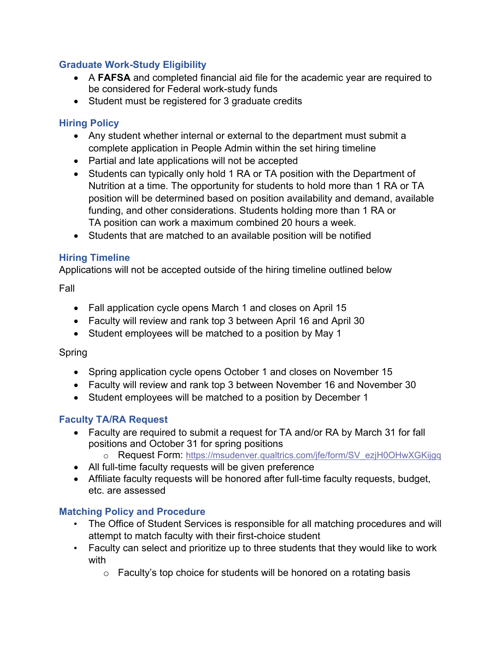## <span id="page-2-0"></span>**Graduate Work-Study Eligibility**

- A **FAFSA** and completed financial aid file for the academic year are required to be considered for Federal work-study funds
- Student must be registered for 3 graduate credits

## <span id="page-2-1"></span>**Hiring Policy**

- Any student whether internal or external to the department must submit a complete application in People Admin within the set hiring timeline
- Partial and late applications will not be accepted
- Students can typically only hold 1 RA or TA position with the Department of Nutrition at a time. The opportunity for students to hold more than 1 RA or TA position will be determined based on position availability and demand, available funding, and other considerations. Students holding more than 1 RA or TA position can work a maximum combined 20 hours a week.
- Students that are matched to an available position will be notified

## <span id="page-2-2"></span>**Hiring Timeline**

Applications will not be accepted outside of the hiring timeline outlined below

#### Fall

- Fall application cycle opens March 1 and closes on April 15
- Faculty will review and rank top 3 between April 16 and April 30
- Student employees will be matched to a position by May 1

#### Spring

- Spring application cycle opens October 1 and closes on November 15
- Faculty will review and rank top 3 between November 16 and November 30
- Student employees will be matched to a position by December 1

# <span id="page-2-3"></span>**Faculty TA/RA Request**

- Faculty are required to submit a request for TA and/or RA by March 31 for fall positions and October 31 for spring positions
	- o Request Form: [https://msudenver.qualtrics.com/jfe/form/SV\\_ezjH0OHwXGKijgq](https://msudenver.qualtrics.com/jfe/form/SV_ezjH0OHwXGKijgq)
- All full-time faculty requests will be given preference
- Affiliate faculty requests will be honored after full-time faculty requests, budget, etc. are assessed

# <span id="page-2-4"></span>**Matching Policy and Procedure**

- The Office of Student Services is responsible for all matching procedures and will attempt to match faculty with their first-choice student
- Faculty can select and prioritize up to three students that they would like to work with
	- $\circ$  Faculty's top choice for students will be honored on a rotating basis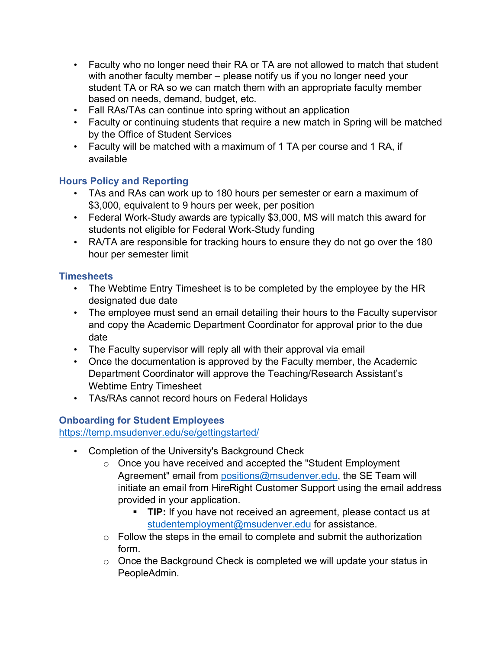- Faculty who no longer need their RA or TA are not allowed to match that student with another faculty member – please notify us if you no longer need your student TA or RA so we can match them with an appropriate faculty member based on needs, demand, budget, etc.
- Fall RAs/TAs can continue into spring without an application
- Faculty or continuing students that require a new match in Spring will be matched by the Office of Student Services
- Faculty will be matched with a maximum of 1 TA per course and 1 RA, if available

# <span id="page-3-0"></span>**Hours Policy and Reporting**

- TAs and RAs can work up to 180 hours per semester or earn a maximum of \$3,000, equivalent to 9 hours per week, per position
- Federal Work-Study awards are typically \$3,000, MS will match this award for students not eligible for Federal Work-Study funding
- RA/TA are responsible for tracking hours to ensure they do not go over the 180 hour per semester limit

## <span id="page-3-1"></span>**Timesheets**

- The Webtime Entry Timesheet is to be completed by the employee by the HR designated due date
- The employee must send an email detailing their hours to the Faculty supervisor and copy the Academic Department Coordinator for approval prior to the due date
- The Faculty supervisor will reply all with their approval via email
- Once the documentation is approved by the Faculty member, the Academic Department Coordinator will approve the Teaching/Research Assistant's Webtime Entry Timesheet
- TAs/RAs cannot record hours on Federal Holidays

# <span id="page-3-2"></span>**Onboarding for Student Employees**

<https://temp.msudenver.edu/se/gettingstarted/>

- Completion of the University's Background Check
	- o Once you have received and accepted the "Student Employment Agreement" email from [positions@msudenver.edu,](mailto:positions@msudenver.edu) the SE Team will initiate an email from HireRight Customer Support using the email address provided in your application.
		- **TIP:** If you have not received an agreement, please contact us at [studentemployment@msudenver.edu](mailto:studentemployment@msudenver.edu) for assistance.
	- $\circ$  Follow the steps in the email to complete and submit the authorization form.
	- o Once the Background Check is completed we will update your status in PeopleAdmin.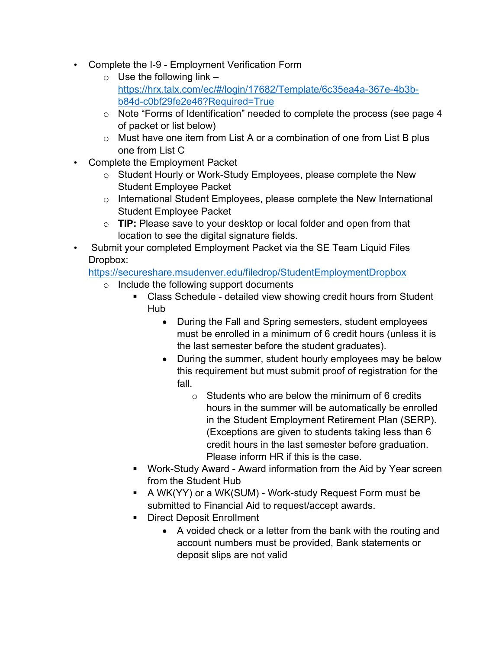- Complete the I-9 Employment Verification Form
	- $\circ$  Use the following link  $$ [https://hrx.talx.com/ec/#/login/17682/Template/6c35ea4a-367e-4b3b](https://hrx.talx.com/ec/#/login/17682/Template/6c35ea4a-367e-4b3b-b84d-c0bf29fe2e46?Required=True)[b84d-c0bf29fe2e46?Required=True](https://hrx.talx.com/ec/#/login/17682/Template/6c35ea4a-367e-4b3b-b84d-c0bf29fe2e46?Required=True)
	- o Note "Forms of Identification" needed to complete the process (see page 4 of packet or list below)
	- o Must have one item from List A or a combination of one from List B plus one from List C
- Complete the Employment Packet
	- o Student Hourly or Work-Study Employees, please complete the New Student Employee Packet
	- o International Student Employees, please complete the New International Student Employee Packet
	- o **TIP:** Please save to your desktop or local folder and open from that location to see the digital signature fields.
- Submit your completed Employment Packet via the SE Team Liquid Files Dropbox:

<https://secureshare.msudenver.edu/filedrop/StudentEmploymentDropbox>

- o Include the following support documents
	- Class Schedule detailed view showing credit hours from Student Hub
		- During the Fall and Spring semesters, student employees must be enrolled in a minimum of 6 credit hours (unless it is the last semester before the student graduates).
		- During the summer, student hourly employees may be below this requirement but must submit proof of registration for the fall.
			- $\circ$  Students who are below the minimum of 6 credits hours in the summer will be automatically be enrolled in the Student Employment Retirement Plan (SERP). (Exceptions are given to students taking less than 6 credit hours in the last semester before graduation. Please inform HR if this is the case.
	- Work-Study Award Award information from the Aid by Year screen from the Student Hub
	- A WK(YY) or a WK(SUM) Work-study Request Form must be submitted to Financial Aid to request/accept awards.
	- Direct Deposit Enrollment
		- A voided check or a letter from the bank with the routing and account numbers must be provided, Bank statements or deposit slips are not valid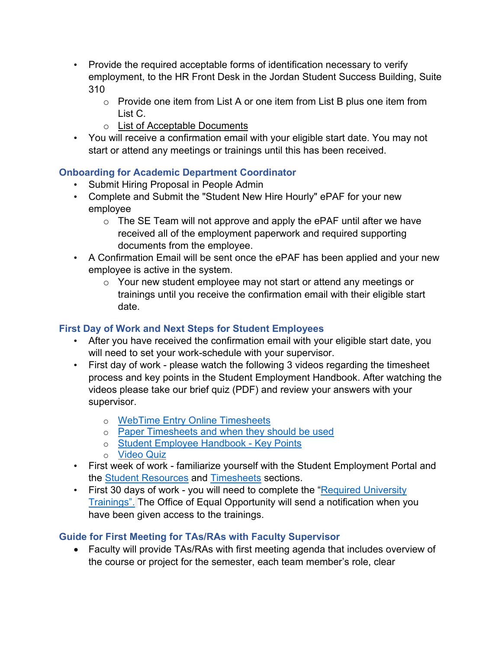- Provide the required acceptable forms of identification necessary to verify employment, to the HR Front Desk in the Jordan Student Success Building, Suite 310
	- o Provide one item from List A or one item from List B plus one item from List C.
	- o [List of Acceptable Documents](https://temp.msudenver.edu/media/content/studentemploymentportal/pre-hire/I9AcceptableDocs.pdf)
- You will receive a confirmation email with your eligible start date. You may not start or attend any meetings or trainings until this has been received.

# <span id="page-5-0"></span>**Onboarding for Academic Department Coordinator**

- Submit Hiring Proposal in People Admin
- Complete and Submit the "Student New Hire Hourly" ePAF for your new employee
	- $\circ$  The SE Team will not approve and apply the ePAF until after we have received all of the employment paperwork and required supporting documents from the employee.
- A Confirmation Email will be sent once the ePAF has been applied and your new employee is active in the system.
	- o Your new student employee may not start or attend any meetings or trainings until you receive the confirmation email with their eligible start date.

# <span id="page-5-1"></span>**First Day of Work and Next Steps for Student Employees**

- After you have received the confirmation email with your eligible start date, you will need to set your work-schedule with your supervisor.
- First day of work please watch the following 3 videos regarding the timesheet process and key points in the Student Employment Handbook. After watching the videos please take our brief quiz (PDF) and review your answers with your supervisor.
	- o [WebTime Entry Online](https://msudenver.yuja.com/V/Video?v=1208634&node=4503664&a=612507666&autoplay=1) Timesheets
	- o [Paper Timesheets and when they should be used](https://msudenver.yuja.com/V/Video?v=1208635&node=4503665&a=1422209460&autoplay=1)
	- o [Student Employee Handbook -](https://msudenver.yuja.com/V/Video?v=1208637&node=4503667&a=698977518&autoplay=1) Key Points
	- o [Video Quiz](https://temp.msudenver.edu/media/content/studentemploymentportal/forms/VideoQuiz_June2020.pdf)
- First week of work familiarize yourself with the Student Employment Portal and the [Student Resources](https://temp.msudenver.edu/se/studentresources/) and [Timesheets](https://temp.msudenver.edu/se/Timesheets) sections.
- First 30 days of work you will need to complete the "Required University" [Trainings".](https://temp.msudenver.edu/se/studentresources/Required%20University%20Trainings) The Office of Equal Opportunity will send a notification when you have been given access to the trainings.

# <span id="page-5-2"></span>**Guide for First Meeting for TAs/RAs with Faculty Supervisor**

• Faculty will provide TAs/RAs with first meeting agenda that includes overview of the course or project for the semester, each team member's role, clear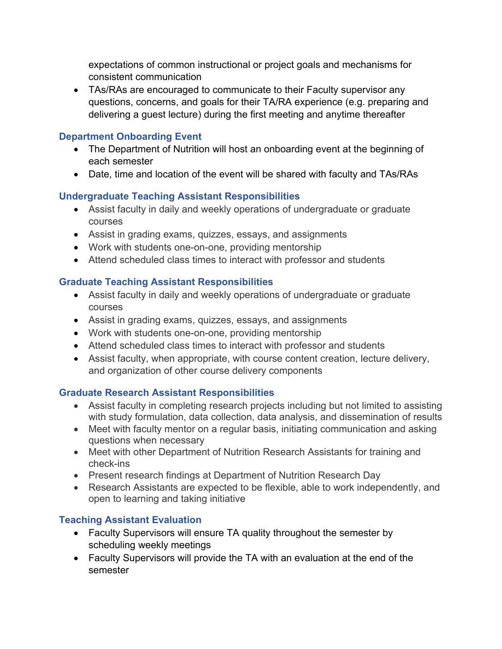expectations of common instructional or project goals and mechanisms for consistent communication

• TAs/RAs are encouraged to communicate to their Faculty supervisor any questions, concerns, and goals for their TA/RA experience (e.g. preparing and delivering a guest lecture) during the first meeting and anytime thereafter

#### <span id="page-6-0"></span>**Department Onboarding Event**

- The Department of Nutrition will host an onboarding event at the beginning of each semester
- Date, time and location of the event will be shared with faculty and TAs/RAs

# <span id="page-6-1"></span>**Undergraduate Teaching Assistant Responsibilities**

- Assist faculty in daily and weekly operations of undergraduate or graduate courses
- Assist in grading exams, quizzes, essays, and assignments
- Work with students one-on-one, providing mentorship
- Attend scheduled class times to interact with professor and students

# <span id="page-6-2"></span>**Graduate Teaching Assistant Responsibilities**

- Assist faculty in daily and weekly operations of undergraduate or graduate courses
- Assist in grading exams, quizzes, essays, and assignments
- Work with students one-on-one, providing mentorship
- Attend scheduled class times to interact with professor and students
- Assist faculty, when appropriate, with course content creation, lecture delivery, and organization of other course delivery components

# <span id="page-6-3"></span>**Graduate Research Assistant Responsibilities**

- Assist faculty in completing research projects including but not limited to assisting with study formulation, data collection, data analysis, and dissemination of results
- Meet with faculty mentor on a regular basis, initiating communication and asking questions when necessary
- Meet with other Department of Nutrition Research Assistants for training and check-ins
- Present research findings at Department of Nutrition Research Day
- Research Assistants are expected to be flexible, able to work independently, and open to learning and taking initiative

# <span id="page-6-4"></span>**Teaching Assistant Evaluation**

- Faculty Supervisors will ensure TA quality throughout the semester by scheduling weekly meetings
- Faculty Supervisors will provide the TA with an evaluation at the end of the semester